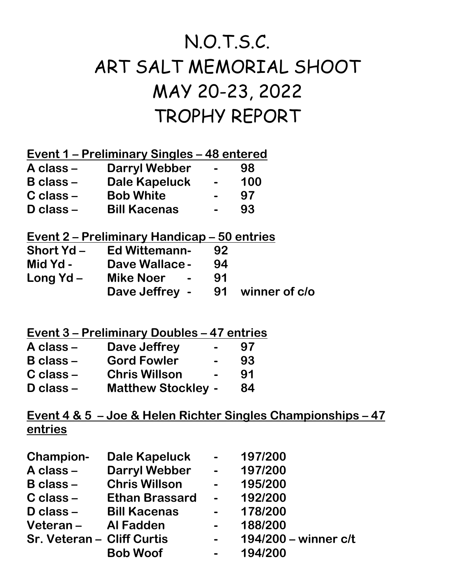## N.O.T.S.C. ART SALT MEMORIAL SHOOT MAY 20-23, 2022 TROPHY REPORT

**Event 1 – Preliminary Singles – 48 entered** 

| A class –     | <b>Darryl Webber</b> | $\overline{\phantom{0}}$ | 98  |
|---------------|----------------------|--------------------------|-----|
| $B$ class $-$ | <b>Dale Kapeluck</b> | $\blacksquare$           | 100 |
| $C$ class $-$ | <b>Bob White</b>     | $\overline{\phantom{0}}$ | 97  |
| $D$ class $-$ | <b>Bill Kacenas</b>  | $\overline{\phantom{0}}$ | 93  |
|               |                      |                          |     |

## **Event 2 – Preliminary Handicap – 50 entries**

| <b>Short Yd-</b>     | <b>Ed Wittemann-</b>  | 92 |                  |
|----------------------|-----------------------|----|------------------|
| Mid Yd -             | <b>Dave Wallace -</b> | 94 |                  |
| Long $\mathsf{Yd}$ – | Mike Noer -           | 91 |                  |
|                      | Dave Jeffrey -        |    | 91 winner of c/o |

## **Event 3 – Preliminary Doubles – 47 entries**

| A class –     | Dave Jeffrey              | 97 |
|---------------|---------------------------|----|
| $B$ class $-$ | <b>Gord Fowler</b>        | 93 |
| C class –     | <b>Chris Willson</b>      | 91 |
| D class -     | <b>Matthew Stockley -</b> | 84 |

## **Event 4 & 5 – Joe & Helen Richter Singles Championships – 47 entries**

| <b>Dale Kapeluck</b>  | $\sim$                                                   | 197/200              |
|-----------------------|----------------------------------------------------------|----------------------|
| <b>Darryl Webber</b>  | $\sim$                                                   | 197/200              |
| <b>Chris Willson</b>  | $\sim$ $-$                                               | 195/200              |
| <b>Ethan Brassard</b> | $\overline{\phantom{a}}$                                 | 192/200              |
| <b>Bill Kacenas</b>   | $\sim$                                                   | 178/200              |
|                       |                                                          | 188/200              |
|                       |                                                          | 194/200 - winner c/t |
| <b>Bob Woof</b>       |                                                          | 194/200              |
|                       | Veteran - Al Fadden<br><b>Sr. Veteran - Cliff Curtis</b> |                      |